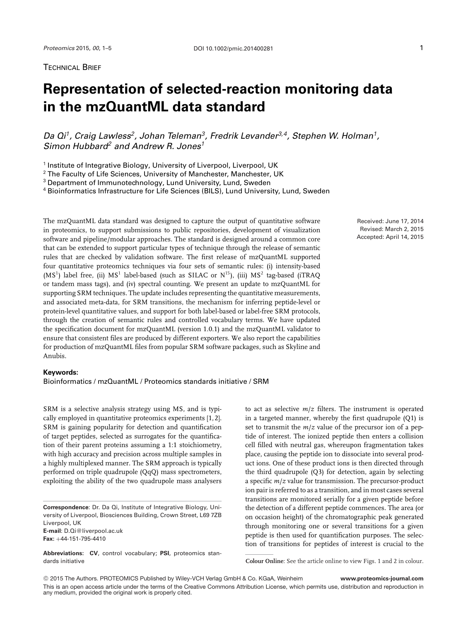TECHNICAL BRIEF

## **Representation of selected-reaction monitoring data in the mzQuantML data standard**

*Da Qi1, Craig Lawless2, Johan Teleman3, Fredrik Levander3,4, Stephen W. Holman1, Simon Hubbard<sup>2</sup> and Andrew R. Jones<sup>1</sup>*

<sup>1</sup> Institute of Integrative Biology, University of Liverpool, Liverpool, UK

<sup>2</sup> The Faculty of Life Sciences, University of Manchester, Manchester, UK

<sup>3</sup> Department of Immunotechnology, Lund University, Lund, Sweden

<sup>4</sup> Bioinformatics Infrastructure for Life Sciences (BILS), Lund University, Lund, Sweden

The mzQuantML data standard was designed to capture the output of quantitative software in proteomics, to support submissions to public repositories, development of visualization software and pipeline/modular approaches. The standard is designed around a common core that can be extended to support particular types of technique through the release of semantic rules that are checked by validation software. The first release of mzQuantML supported four quantitative proteomics techniques via four sets of semantic rules: (i) intensity-based  $(MS<sup>1</sup>)$  label free, (ii)  $MS<sup>1</sup>$  label-based (such as SILAC or  $N<sup>15</sup>$ ), (iii)  $MS<sup>2</sup>$  tag-based (iTRAO or tandem mass tags), and (iv) spectral counting. We present an update to mzQuantML for supporting SRM techniques. The update includes representing the quantitative measurements, and associated meta-data, for SRM transitions, the mechanism for inferring peptide-level or protein-level quantitative values, and support for both label-based or label-free SRM protocols, through the creation of semantic rules and controlled vocabulary terms. We have updated the specification document for mzQuantML (version 1.0.1) and the mzQuantML validator to ensure that consistent files are produced by different exporters. We also report the capabilities for production of mzQuantML files from popular SRM software packages, such as Skyline and Anubis.

## **Keywords:**

Bioinformatics / mzQuantML / Proteomics standards initiative / SRM

SRM is a selective analysis strategy using MS, and is typically employed in quantitative proteomics experiments [1, 2]. SRM is gaining popularity for detection and quantification of target peptides, selected as surrogates for the quantification of their parent proteins assuming a 1:1 stoichiometry, with high accuracy and precision across multiple samples in a highly multiplexed manner. The SRM approach is typically performed on triple quadrupole (QqQ) mass spectrometers, exploiting the ability of the two quadrupole mass analysers

**Correspondence**: Dr. Da Qi, Institute of Integrative Biology, University of Liverpool, Biosciences Building, Crown Street, L69 7ZB Liverpool, UK **E-mail**: D.Qi@liverpool.ac.uk **Fax:** +44-151-795-4410

**Abbreviations: CV**, control vocabulary; **PSI**, proteomics standards initiative

Received: June 17, 2014 Revised: March 2, 2015 Accepted: April 14, 2015

to act as selective *m*/*z* filters. The instrument is operated in a targeted manner, whereby the first quadrupole (Q1) is set to transmit the *m*/*z* value of the precursor ion of a peptide of interest. The ionized peptide then enters a collision cell filled with neutral gas, whereupon fragmentation takes place, causing the peptide ion to dissociate into several product ions. One of these product ions is then directed through the third quadrupole (Q3) for detection, again by selecting a specific *m*/*z* value for transmission. The precursor-product ion pair is referred to as a transition, and in most cases several transitions are monitored serially for a given peptide before the detection of a different peptide commences. The area (or on occasion height) of the chromatographic peak generated through monitoring one or several transitions for a given peptide is then used for quantification purposes. The selection of transitions for peptides of interest is crucial to the

**Colour Online**: See the article online to view Figs. 1 and 2 in colour.

© 2015 The Authors. PROTEOMICS Published by Wiley-VCH Verlag GmbH & Co. KGaA, Weinheim **www.proteomics-journal.com** This is an open access article under the terms of the [Creative Commons Attribution License,](http://creativecommons.org/licenses/by/4.0/) which permits use, distribution and reproduction in any medium, provided the original work is properly cited.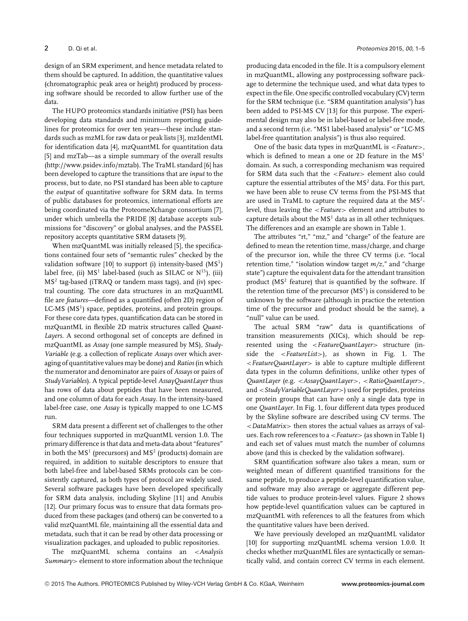design of an SRM experiment, and hence metadata related to them should be captured. In addition, the quantitative values (chromatographic peak area or height) produced by processing software should be recorded to allow further use of the data.

The HUPO proteomics standards initiative (PSI) has been developing data standards and minimum reporting guidelines for proteomics for over ten years—these include standards such as mzML for raw data or peak lists [3], mzIdentML for identification data [4], mzQuantML for quantitation data [5] and mzTab—as a simple summary of the overall results [\(http://www.psidev.info/mztab\)](http://www.psidev.info/mztab). The TraML standard [6] has been developed to capture the transitions that are *input* to the process, but to date, no PSI standard has been able to capture the *output* of quantitative software for SRM data. In terms of public databases for proteomics, international efforts are being coordinated via the ProteomeXchange consortium [7], under which umbrella the PRIDE [8] database accepts submissions for "discovery" or global analyses, and the PASSEL repository accepts quantitative SRM datasets [9].

When mzQuantML was initially released [5], the specifications contained four sets of "semantic rules" checked by the validation software [10] to support (i) intensity-based  $(MS<sup>1</sup>)$ label free, (ii)  $MS<sup>1</sup>$  label-based (such as SILAC or  $N<sup>15</sup>$ ), (iii) MS<sup>2</sup> tag-based (iTRAQ or tandem mass tags), and (iv) spectral counting. The core data structures in an mzQuantML file are *features—*defined as a quantified (often 2D) region of LC-MS  $(MS<sup>1</sup>)$  space, peptides, proteins, and protein groups. For these core data types, quantification data can be stored in mzQuantML in flexible 2D matrix structures called *Quant-Layers*. A second orthogonal set of concepts are defined in mzQuantML as *Assay* (one sample measured by MS), *Study-Variable* (e.g. a collection of replicate *Assays* over which averaging of quantitative values may be done) and*Ratios* (in which the numerator and denominator are pairs of *Assays* or pairs of *StudyVariables*). A typical peptide-level *AssayQuantLayer* thus has rows of data about peptides that have been measured, and one column of data for each *Assay*. In the intensity-based label-free case, one *Assay* is typically mapped to one LC-MS run.

SRM data present a different set of challenges to the other four techniques supported in mzQuantML version 1.0. The primary difference is that data and meta-data about "features" in both the  $MS<sup>1</sup>$  (precursors) and  $MS<sup>2</sup>$  (products) domain are required, in addition to suitable descriptors to ensure that both label-free and label-based SRMs protocols can be consistently captured, as both types of protocol are widely used. Several software packages have been developed specifically for SRM data analysis, including Skyline [11] and Anubis [12]. Our primary focus was to ensure that data formats produced from these packages (and others) can be converted to a valid mzQuantML file, maintaining all the essential data and metadata, such that it can be read by other data processing or visualization packages, and uploaded to public repositories.

The mzQuantML schema contains an <*Analysis Summary*> element to store information about the technique

producing data encoded in the file. It is a compulsory element in mzQuantML, allowing any postprocessing software package to determine the technique used, and what data types to expect in the file. One specific controlled vocabulary (CV) term for the SRM technique (i.e. "SRM quantitation analysis") has been added to PSI-MS CV [13] for this purpose. The experimental design may also be in label-based or label-free mode, and a second term (i.e. "MS1 label-based analysis" or "LC-MS label-free quantitation analysis") is thus also required.

One of the basic data types in mzQuantML is <*Feature*>, which is defined to mean a one or 2D feature in the  $MS<sup>1</sup>$ domain. As such, a corresponding mechanism was required for SRM data such that the <*Feature*> element also could capture the essential attributes of the  $MS<sup>2</sup>$  data. For this part, we have been able to reuse CV terms from the PSI-MS that are used in TraML to capture the required data at the MS2 level, thus leaving the <*Feature*> element and attributes to capture details about the  $MS<sup>1</sup>$  data as in all other techniques. The differences and an example are shown in Table 1.

The attributes "rt," "mz," and "charge" of the feature are defined to mean the retention time, mass/charge, and charge of the precursor ion, while the three CV terms (i.e. "local retention time," "isolation window target *m/z*," and "charge state") capture the equivalent data for the attendant transition product ( $MS<sup>2</sup>$  feature) that is quantified by the software. If the retention time of the precursor  $(MS<sup>1</sup>)$  is considered to be unknown by the software (although in practice the retention time of the precursor and product should be the same), a "null" value can be used.

The actual SRM "raw" data is quantifications of transition measurements (XICs), which should be represented using the <*FeatureQuantLayer*> structure (inside the <*FeatureList*>), as shown in Fig. 1. The <*FeatureQuantLayer*> is able to capture multiple different data types in the column definitions, unlike other types of *QuantLayer* (e.g. <*AssayQuantLayer*>, <*RatioQuantLayer*>, and <*StudyVariableQuantLayer*>) used for peptides, proteins or protein groups that can have only a single data type in one *QuantLayer*. In Fig. 1, four different data types produced by the Skyline software are described using CV terms. The <*DataMatrix*> then stores the actual values as arrays of values. Each row references to a <*Feature*> (as shown in Table 1) and each set of values must match the number of columns above (and this is checked by the validation software).

SRM quantification software also takes a mean, sum or weighted mean of different quantified transitions for the same peptide, to produce a peptide-level quantification value, and software may also average or aggregate different peptide values to produce protein-level values. Figure 2 shows how peptide-level quantification values can be captured in mzQuantML with references to all the features from which the quantitative values have been derived.

We have previously developed an mzQuantML validator [10] for supporting mzQuantML schema version 1.0.0. It checks whether mzQuantML files are syntactically or semantically valid, and contain correct CV terms in each element.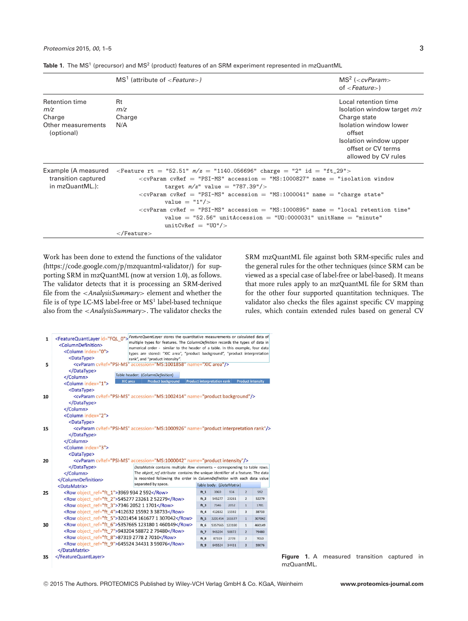|  |  |  |  |  |  |  |  | Table 1. The MS <sup>1</sup> (precursor) and MS <sup>2</sup> (product) features of an SRM experiment represented in mzQuantML |  |  |
|--|--|--|--|--|--|--|--|-------------------------------------------------------------------------------------------------------------------------------|--|--|
|--|--|--|--|--|--|--|--|-------------------------------------------------------------------------------------------------------------------------------|--|--|

 $unitCvRef = "U0"$ />

|                                                               | $MS1$ (attribute of $\leq$ Feature $\geq$ )                                                                                                                                                                                                                                                                                                                                                                                                                                                                                                                                                             | $MS2$ ( <cvparam><br/>of <math>&lt; \textit{Feature}</math>)</cvparam>                               |  |  |
|---------------------------------------------------------------|---------------------------------------------------------------------------------------------------------------------------------------------------------------------------------------------------------------------------------------------------------------------------------------------------------------------------------------------------------------------------------------------------------------------------------------------------------------------------------------------------------------------------------------------------------------------------------------------------------|------------------------------------------------------------------------------------------------------|--|--|
| Retention time<br>m/z<br>Charge<br>Other measurements         | <b>Rt</b><br>m/z<br>Charge<br>N/A                                                                                                                                                                                                                                                                                                                                                                                                                                                                                                                                                                       | Local retention time<br>Isolation window target <i>m/z</i><br>Charge state<br>Isolation window lower |  |  |
| (optional)                                                    |                                                                                                                                                                                                                                                                                                                                                                                                                                                                                                                                                                                                         | offset<br>Isolation window upper<br>offset or CV terms<br>allowed by CV rules                        |  |  |
| Example (A measured<br>transition captured<br>in mzQuantML.): | <feature <math="" rt="52.51">m/z = "1140.056696" charge = "2" id = "ft_29"&gt;<br/><math>\langle</math> cvParam cvRef = "PSI-MS" accession = "MS:1000827" name = "isolation window<br/>target <math>m/z''</math> value = "787.39"/&gt;<br/><math>\langle</math> cvParam cvRef = "PSI-MS" accession = "MS:1000041" name = "charge state"<br/>value = <math>"1"</math>/&gt;<br/><math>\langle</math>cvParam cvRef = "PSI-MS" accession = "MS:1000895" name = "local retention time"<br/>value = <math>"52.56"</math> unitAccession = <math>"U0:0000031"</math> unitName = <math>"minute"</math></feature> |                                                                                                      |  |  |

Work has been done to extend the functions of the validator [\(https://code.google.com/p/mzquantml-validator/\)](https://code.google.com/p/mzquantml-validator/) for supporting SRM in mzQuantML (now at version 1.0), as follows. The validator detects that it is processing an SRM-derived file from the <*AnalysisSummary*> element and whether the file is of type LC-MS label-free or  $MS<sup>1</sup>$  label-based technique also from the <*AnalysisSummary*>. The validator checks the

</Feature>

SRM mzQuantML file against both SRM-specific rules and the general rules for the other techniques (since SRM can be viewed as a special case of label-free or label-based). It means that more rules apply to an mzQuantML file for SRM than for the other four supported quantitation techniques. The validator also checks the files against specific CV mapping rules, which contain extended rules based on general CV

| $\mathbf{1}$                                                                              | <featurequantlayer id="FQL_0">FeatureQuantLayer stores the quantitative measurements or calculated data of</featurequantlayer>                                         | multiple types for features. The ColumnDefinition records the types of data in                  |                                    |                          |                |                          |        |  |  |  |  |
|-------------------------------------------------------------------------------------------|------------------------------------------------------------------------------------------------------------------------------------------------------------------------|-------------------------------------------------------------------------------------------------|------------------------------------|--------------------------|----------------|--------------------------|--------|--|--|--|--|
|                                                                                           | <columndefinition></columndefinition>                                                                                                                                  | numerical order - similar to the header of a table. In this example, four data                  |                                    |                          |                |                          |        |  |  |  |  |
|                                                                                           | <column index="0"></column>                                                                                                                                            | types are stored: "XIC area", "product background", "product interpretation                     |                                    |                          |                |                          |        |  |  |  |  |
|                                                                                           | <datatype></datatype>                                                                                                                                                  | rank", and "product intensity".                                                                 |                                    |                          |                |                          |        |  |  |  |  |
| 5                                                                                         | <cvparam accession="MS:1001858" cvref="PSI-MS" name="XIC area"></cvparam>                                                                                              |                                                                                                 |                                    |                          |                |                          |        |  |  |  |  |
|                                                                                           |                                                                                                                                                                        | Table header: (ColumnDefinition)                                                                |                                    |                          |                |                          |        |  |  |  |  |
|                                                                                           | <br><b>XIC</b> area                                                                                                                                                    | <b>Product background</b>                                                                       | <b>Product interpretation rank</b> |                          |                | <b>Product intensity</b> |        |  |  |  |  |
|                                                                                           | <column index="1"></column>                                                                                                                                            |                                                                                                 |                                    |                          |                |                          |        |  |  |  |  |
|                                                                                           | <datatype></datatype>                                                                                                                                                  |                                                                                                 |                                    |                          |                |                          |        |  |  |  |  |
| <cvparam accession="MS:1002414" cvref="PSI-MS" name="product background"></cvparam><br>10 |                                                                                                                                                                        |                                                                                                 |                                    |                          |                |                          |        |  |  |  |  |
|                                                                                           |                                                                                                                                                                        |                                                                                                 |                                    |                          |                |                          |        |  |  |  |  |
|                                                                                           |                                                                                                                                                                        |                                                                                                 |                                    |                          |                |                          |        |  |  |  |  |
|                                                                                           | <column index="2"></column>                                                                                                                                            |                                                                                                 |                                    |                          |                |                          |        |  |  |  |  |
|                                                                                           | <datatype></datatype>                                                                                                                                                  |                                                                                                 |                                    |                          |                |                          |        |  |  |  |  |
| 15                                                                                        | <cvparam <="" accession="MS:1000926" cvref="PSI-MS" name="product interpretation rank" th=""><th></th><th></th><th></th><th></th><th></th><th></th><th></th></cvparam> |                                                                                                 |                                    |                          |                |                          |        |  |  |  |  |
|                                                                                           |                                                                                                                                                                        |                                                                                                 |                                    |                          |                |                          |        |  |  |  |  |
|                                                                                           |                                                                                                                                                                        |                                                                                                 |                                    |                          |                |                          |        |  |  |  |  |
|                                                                                           | <column index="3"></column>                                                                                                                                            |                                                                                                 |                                    |                          |                |                          |        |  |  |  |  |
|                                                                                           | <datatype></datatype>                                                                                                                                                  |                                                                                                 |                                    |                          |                |                          |        |  |  |  |  |
| 20                                                                                        |                                                                                                                                                                        | <cvparam accession="MS:1000042" cvref="PSI-MS" name="product intensity"></cvparam>              |                                    |                          |                |                          |        |  |  |  |  |
|                                                                                           |                                                                                                                                                                        | DataMatrix contains multiple Row elements - corresponding to table rows.                        |                                    |                          |                |                          |        |  |  |  |  |
|                                                                                           |                                                                                                                                                                        | The object ref attribute contains the unique identifier of a feature. The data                  |                                    |                          |                |                          |        |  |  |  |  |
|                                                                                           |                                                                                                                                                                        | is recorded following the order in ColumnDefinition with each data value<br>separated by space. |                                    |                          |                |                          |        |  |  |  |  |
|                                                                                           | <datamatrix></datamatrix>                                                                                                                                              |                                                                                                 |                                    | Table body: (DataMatrix) |                |                          |        |  |  |  |  |
| 25                                                                                        | <row object_ref="ft_1">3969 934 2 592</row>                                                                                                                            |                                                                                                 | $ft_1$                             | 3969                     | 934            | $\overline{2}$           | 592    |  |  |  |  |
|                                                                                           | <row object_ref="ft_2">545277 23261 2 52279</row>                                                                                                                      |                                                                                                 | $ft_2$                             | 545277                   | 23261          | $\overline{2}$           | 52279  |  |  |  |  |
|                                                                                           | <row object="" ref="ft 3">7346 2052 1 1701</row>                                                                                                                       | $ft_3$                                                                                          | 7346                               | 2052                     | $\overline{1}$ | 1701                     |        |  |  |  |  |
|                                                                                           | <row object_ref="ft_4">412632 15592 3 38733</row>                                                                                                                      | $ft_4$                                                                                          | 412632                             | 15592                    | $\overline{3}$ | 38733                    |        |  |  |  |  |
|                                                                                           | <row object_ref="ft_5">3201454 161677 1 307042</row>                                                                                                                   |                                                                                                 | $ft_5$                             | 3201454                  | 161677         | $\overline{1}$           | 307042 |  |  |  |  |
| 30                                                                                        | <row object_ref="ft_6">5357665 123180 1 460149</row>                                                                                                                   |                                                                                                 | ft $6$                             | 5357665                  | 123180         | $\mathbf{1}$             | 460149 |  |  |  |  |
|                                                                                           | <row object_ref="ft_7">943204 58872 2 79480</row>                                                                                                                      |                                                                                                 | $ft_7$                             | 943204                   | 58872          | $\overline{2}$           | 79480  |  |  |  |  |
|                                                                                           | <row object_ref="ft_8">87319 2778 2 7010</row>                                                                                                                         | ft $8$                                                                                          | 87319                              | 2778                     | $\overline{2}$ | 7010                     |        |  |  |  |  |
|                                                                                           | <row object_ref="ft_9">645524 34431 3 59076</row>                                                                                                                      |                                                                                                 |                                    |                          | 34431          | $\overline{3}$           | 59076  |  |  |  |  |
|                                                                                           |                                                                                                                                                                        |                                                                                                 |                                    |                          |                |                          |        |  |  |  |  |
| 35                                                                                        |                                                                                                                                                                        |                                                                                                 |                                    |                          |                |                          |        |  |  |  |  |
|                                                                                           |                                                                                                                                                                        |                                                                                                 |                                    |                          |                |                          |        |  |  |  |  |

**Figure 1.** A measured transition captured in mzQuantML.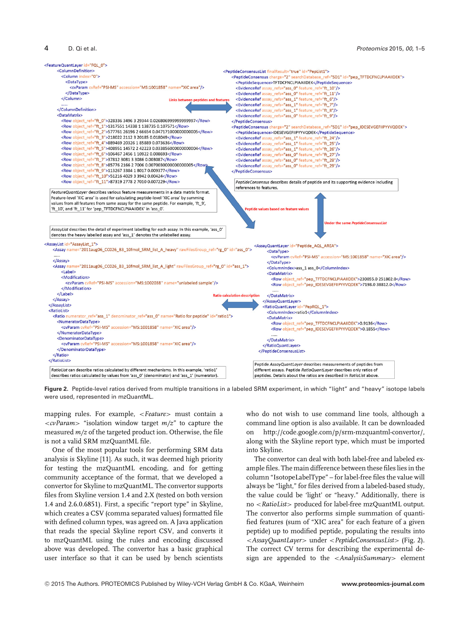

**Figure 2.** Peptide-level ratios derived from multiple transitions in a labeled SRM experiment, in which "light" and "heavy" isotope labels were used, represented in mzQuantML.

mapping rules. For example, <*Feature*> must contain a <*cvParam*> "isolation window target *m/z*" to capture the measured *m/z* of the targeted product ion. Otherwise, the file is not a valid SRM mzQuantML file.

One of the most popular tools for performing SRM data analysis is Skyline [11]. As such, it was deemed high priority for testing the mzQuantML encoding, and for getting community acceptance of the format, that we developed a convertor for Skyline to mzQuantML. The convertor supports files from Skyline version 1.4 and 2.X (tested on both version 1.4 and 2.6.0.6851). First, a specific "report type" in Skyline, which creates a CSV (comma separated values) formatted file with defined column types, was agreed on. A Java application that reads the special Skyline report CSV, and converts it to mzQuantML using the rules and encoding discussed above was developed. The convertor has a basic graphical user interface so that it can be used by bench scientists who do not wish to use command line tools, although a command line option is also available. It can be downloaded on [http://code.google.com/p/srm-mzquantml-convertor/,](http://code.google.com/p/srm-mzquantml-convertor/) along with the Skyline report type, which must be imported into Skyline.

The convertor can deal with both label-free and labeled example files. The main difference between these files lies in the column "IsotopeLabelType" – for label-free files the value will always be "light," for files derived from a labeled-based study, the value could be 'light' or "heavy." Additionally, there is no <*RatioList*> produced for label-free mzQuantML output. The convertor also performs simple summation of quantified features (sum of "XIC area" for each feature of a given peptide) up to modified peptide, populating the results into <*AssayQuantLayer*> under <*PeptideConsensusList*> (Fig. 2). The correct CV terms for describing the experimental design are appended to the <*AnalysisSummary*> element